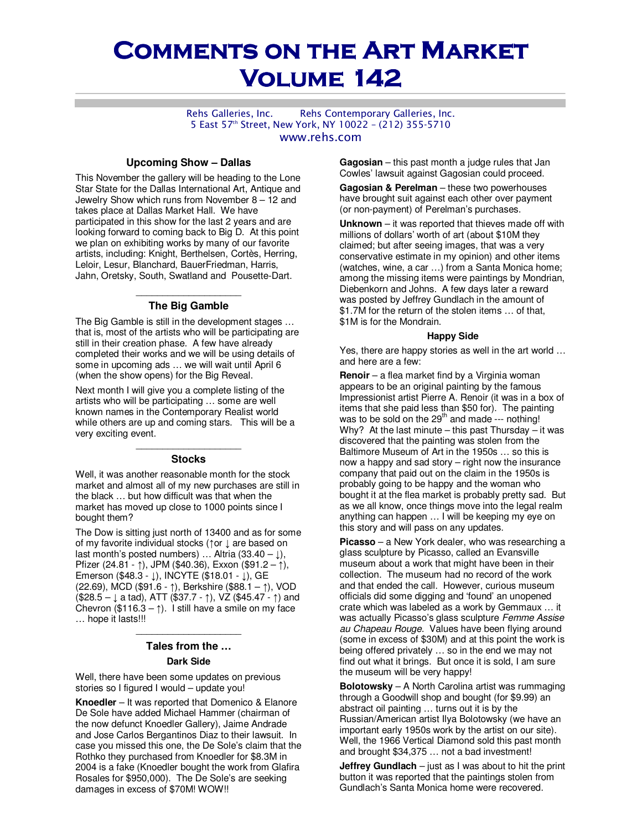# **COMMENTS ON THE ART MARKET Volume 142 Volume 142**

Rehs Galleries, Inc. Rehs Contemporary Galleries, Inc. 5 East 57th Street, New York, NY 10022 – (212) 355-5710 www.rehs.com

## **Upcoming Show – Dallas**

This November the gallery will be heading to the Lone Star State for the Dallas International Art, Antique and Jewelry Show which runs from November 8 – 12 and takes place at Dallas Market Hall. We have participated in this show for the last 2 years and are looking forward to coming back to Big D. At this point we plan on exhibiting works by many of our favorite artists, including: Knight, Berthelsen, Cortès, Herring, Leloir, Lesur, Blanchard, BauerFriedman, Harris, Jahn, Oretsky, South, Swatland and Pousette-Dart.

# \_\_\_\_\_\_\_\_\_\_\_\_\_\_\_\_\_\_\_\_ **The Big Gamble**

The Big Gamble is still in the development stages … that is, most of the artists who will be participating are still in their creation phase. A few have already completed their works and we will be using details of some in upcoming ads … we will wait until April 6 (when the show opens) for the Big Reveal.

Next month I will give you a complete listing of the artists who will be participating … some are well known names in the Contemporary Realist world while others are up and coming stars. This will be a very exciting event.

# \_\_\_\_\_\_\_\_\_\_\_\_\_\_\_\_\_\_\_\_ **Stocks**

Well, it was another reasonable month for the stock market and almost all of my new purchases are still in the black … but how difficult was that when the market has moved up close to 1000 points since I bought them?

The Dow is sitting just north of 13400 and as for some of my favorite individual stocks (↑or ↓ are based on last month's posted numbers) ... Altria (33.40 –  $\downarrow$ ), Pfizer (24.81 - ↑), JPM (\$40.36), Exxon (\$91.2 – ↑), Emerson (\$48.3 - ↓), INCYTE (\$18.01 - ↓), GE (22.69), MCD (\$91.6 - ↑), Berkshire (\$88.1 – ↑), VOD (\$28.5 – ↓ a tad), ATT (\$37.7 - ↑), VZ (\$45.47 - ↑) and Chevron (\$116.3 –  $\uparrow$ ). I still have a smile on my face … hope it lasts!!!

# $\mathcal{L}=\{1,2,3,4,5\}$ **Tales from the …**

# **Dark Side**

Well, there have been some updates on previous stories so I figured I would – update you!

**Knoedler** – It was reported that Domenico & Elanore De Sole have added Michael Hammer (chairman of the now defunct Knoedler Gallery), Jaime Andrade and Jose Carlos Bergantinos Diaz to their lawsuit. In case you missed this one, the De Sole's claim that the Rothko they purchased from Knoedler for \$8.3M in 2004 is a fake (Knoedler bought the work from Glafira Rosales for \$950,000). The De Sole's are seeking damages in excess of \$70M! WOW!!

**Gagosian** – this past month a judge rules that Jan Cowles' lawsuit against Gagosian could proceed.

**Gagosian & Perelman** – these two powerhouses have brought suit against each other over payment (or non-payment) of Perelman's purchases.

**Unknown** – it was reported that thieves made off with millions of dollars' worth of art (about \$10M they claimed; but after seeing images, that was a very conservative estimate in my opinion) and other items (watches, wine, a car …) from a Santa Monica home; among the missing items were paintings by Mondrian, Diebenkorn and Johns. A few days later a reward was posted by Jeffrey Gundlach in the amount of \$1.7M for the return of the stolen items … of that, \$1M is for the Mondrain.

#### **Happy Side**

Yes, there are happy stories as well in the art world … and here are a few:

**Renoir** – a flea market find by a Virginia woman appears to be an original painting by the famous Impressionist artist Pierre A. Renoir (it was in a box of items that she paid less than \$50 for). The painting was to be sold on the  $29<sup>th</sup>$  and made --- nothing! Why? At the last minute  $-$  this past Thursday  $-$  it was discovered that the painting was stolen from the Baltimore Museum of Art in the 1950s … so this is now a happy and sad story – right now the insurance company that paid out on the claim in the 1950s is probably going to be happy and the woman who bought it at the flea market is probably pretty sad. But as we all know, once things move into the legal realm anything can happen … I will be keeping my eye on this story and will pass on any updates.

**Picasso** – a New York dealer, who was researching a glass sculpture by Picasso, called an Evansville museum about a work that might have been in their collection. The museum had no record of the work and that ended the call. However, curious museum officials did some digging and 'found' an unopened crate which was labeled as a work by Gemmaux … it was actually Picasso's glass sculpture Femme Assise au Chapeau Rouge. Values have been flying around (some in excess of \$30M) and at this point the work is being offered privately … so in the end we may not find out what it brings. But once it is sold, I am sure the museum will be very happy!

**Bolotowsky** – A North Carolina artist was rummaging through a Goodwill shop and bought (for \$9.99) an abstract oil painting … turns out it is by the Russian/American artist Ilya Bolotowsky (we have an important early 1950s work by the artist on our site). Well, the 1966 Vertical Diamond sold this past month and brought \$34,375 … not a bad investment!

**Jeffrey Gundlach** – just as I was about to hit the print button it was reported that the paintings stolen from Gundlach's Santa Monica home were recovered.